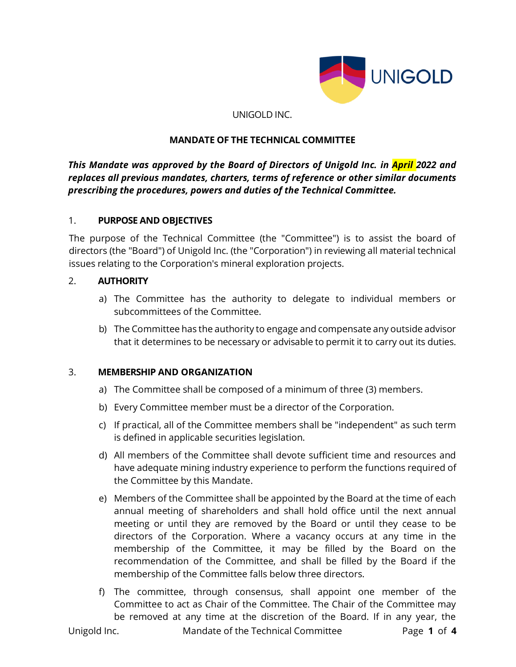

#### UNIGOLD INC.

#### **MANDATE OF THE TECHNICAL COMMITTEE**

*This Mandate was approved by the Board of Directors of Unigold Inc. in April 2022 and replaces all previous mandates, charters, terms of reference or other similar documents prescribing the procedures, powers and duties of the Technical Committee.*

#### 1. **PURPOSE AND OBJECTIVES**

The purpose of the Technical Committee (the "Committee") is to assist the board of directors (the "Board") of Unigold Inc. (the "Corporation") in reviewing all material technical issues relating to the Corporation's mineral exploration projects.

#### 2. **AUTHORITY**

- a) The Committee has the authority to delegate to individual members or subcommittees of the Committee.
- b) The Committee has the authority to engage and compensate any outside advisor that it determines to be necessary or advisable to permit it to carry out its duties.

## 3. **MEMBERSHIP AND ORGANIZATION**

- a) The Committee shall be composed of a minimum of three (3) members.
- b) Every Committee member must be a director of the Corporation.
- c) If practical, all of the Committee members shall be "independent" as such term is defined in applicable securities legislation.
- d) All members of the Committee shall devote sufficient time and resources and have adequate mining industry experience to perform the functions required of the Committee by this Mandate.
- e) Members of the Committee shall be appointed by the Board at the time of each annual meeting of shareholders and shall hold office until the next annual meeting or until they are removed by the Board or until they cease to be directors of the Corporation. Where a vacancy occurs at any time in the membership of the Committee, it may be filled by the Board on the recommendation of the Committee, and shall be filled by the Board if the membership of the Committee falls below three directors.
- f) The committee, through consensus, shall appoint one member of the Committee to act as Chair of the Committee. The Chair of the Committee may be removed at any time at the discretion of the Board. If in any year, the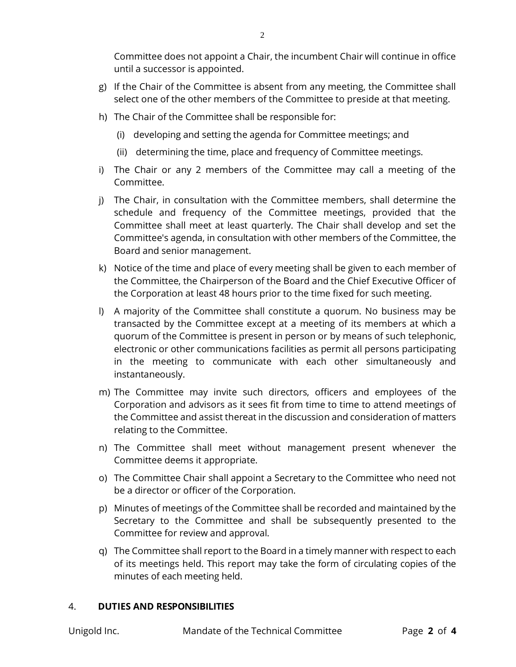Committee does not appoint a Chair, the incumbent Chair will continue in office until a successor is appointed.

- g) If the Chair of the Committee is absent from any meeting, the Committee shall select one of the other members of the Committee to preside at that meeting.
- h) The Chair of the Committee shall be responsible for:
	- (i) developing and setting the agenda for Committee meetings; and
	- (ii) determining the time, place and frequency of Committee meetings.
- i) The Chair or any 2 members of the Committee may call a meeting of the Committee.
- j) The Chair, in consultation with the Committee members, shall determine the schedule and frequency of the Committee meetings, provided that the Committee shall meet at least quarterly. The Chair shall develop and set the Committee's agenda, in consultation with other members of the Committee, the Board and senior management.
- k) Notice of the time and place of every meeting shall be given to each member of the Committee, the Chairperson of the Board and the Chief Executive Officer of the Corporation at least 48 hours prior to the time fixed for such meeting.
- l) A majority of the Committee shall constitute a quorum. No business may be transacted by the Committee except at a meeting of its members at which a quorum of the Committee is present in person or by means of such telephonic, electronic or other communications facilities as permit all persons participating in the meeting to communicate with each other simultaneously and instantaneously.
- m) The Committee may invite such directors, officers and employees of the Corporation and advisors as it sees fit from time to time to attend meetings of the Committee and assist thereat in the discussion and consideration of matters relating to the Committee.
- n) The Committee shall meet without management present whenever the Committee deems it appropriate.
- o) The Committee Chair shall appoint a Secretary to the Committee who need not be a director or officer of the Corporation.
- p) Minutes of meetings of the Committee shall be recorded and maintained by the Secretary to the Committee and shall be subsequently presented to the Committee for review and approval.
- q) The Committee shall report to the Board in a timely manner with respect to each of its meetings held. This report may take the form of circulating copies of the minutes of each meeting held.

## 4. **DUTIES AND RESPONSIBILITIES**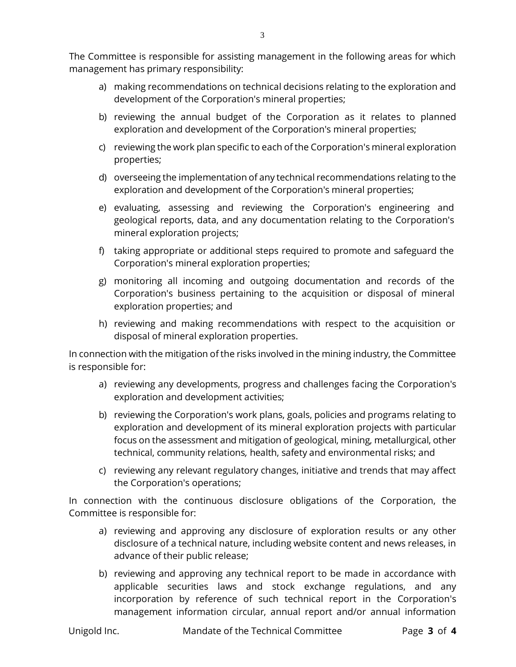- a) making recommendations on technical decisions relating to the exploration and development of the Corporation's mineral properties;
- b) reviewing the annual budget of the Corporation as it relates to planned exploration and development of the Corporation's mineral properties;
- c) reviewing the work plan specific to each of the Corporation's mineral exploration properties;
- d) overseeing the implementation of any technical recommendations relating to the exploration and development of the Corporation's mineral properties;
- e) evaluating, assessing and reviewing the Corporation's engineering and geological reports, data, and any documentation relating to the Corporation's mineral exploration projects;
- f) taking appropriate or additional steps required to promote and safeguard the Corporation's mineral exploration properties;
- g) monitoring all incoming and outgoing documentation and records of the Corporation's business pertaining to the acquisition or disposal of mineral exploration properties; and
- h) reviewing and making recommendations with respect to the acquisition or disposal of mineral exploration properties.

In connection with the mitigation of the risks involved in the mining industry, the Committee is responsible for:

- a) reviewing any developments, progress and challenges facing the Corporation's exploration and development activities;
- b) reviewing the Corporation's work plans, goals, policies and programs relating to exploration and development of its mineral exploration projects with particular focus on the assessment and mitigation of geological, mining, metallurgical, other technical, community relations*,* health, safety and environmental risks; and
- c) reviewing any relevant regulatory changes, initiative and trends that may affect the Corporation's operations;

In connection with the continuous disclosure obligations of the Corporation, the Committee is responsible for:

- a) reviewing and approving any disclosure of exploration results or any other disclosure of a technical nature, including website content and news releases, in advance of their public release;
- b) reviewing and approving any technical report to be made in accordance with applicable securities laws and stock exchange regulations, and any incorporation by reference of such technical report in the Corporation's management information circular, annual report and/or annual information